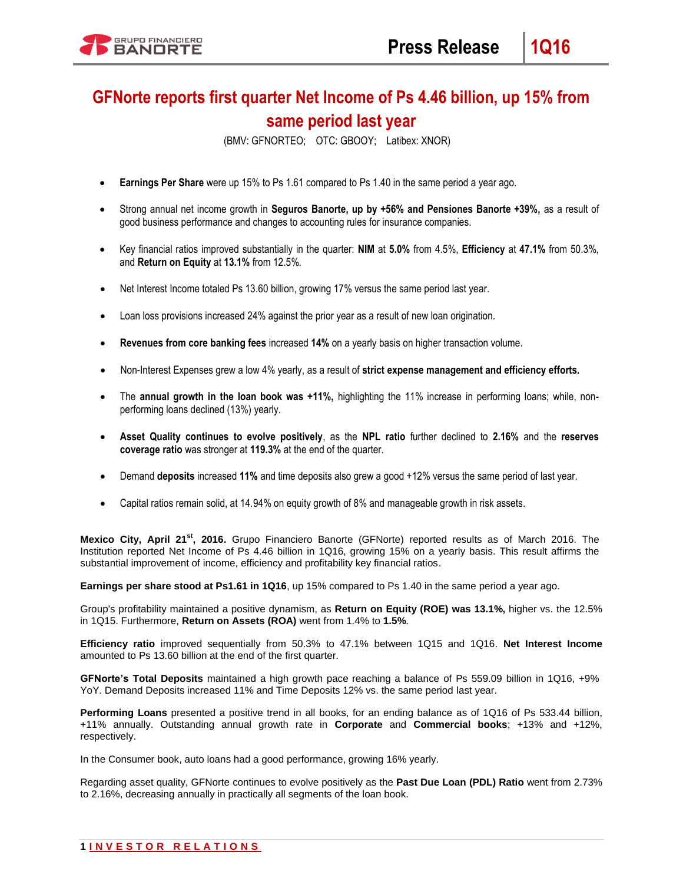# **GFNorte reports first quarter Net Income of Ps 4.46 billion, up 15% from same period last year**

(BMV: GFNORTEO; OTC: GBOOY; Latibex: XNOR)

- **Earnings Per Share** were up 15% to Ps 1.61 compared to Ps 1.40 in the same period a year ago.
- Strong annual net income growth in **Seguros Banorte, up by +56% and Pensiones Banorte +39%,** as a result of good business performance and changes to accounting rules for insurance companies.
- Key financial ratios improved substantially in the quarter: **NIM** at **5.0%** from 4.5%, **Efficiency** at **47.1%** from 50.3%, and **Return on Equity** at **13.1%** from 12.5%.
- Net Interest Income totaled Ps 13.60 billion, growing 17% versus the same period last year.
- Loan loss provisions increased 24% against the prior year as a result of new loan origination.
- **Revenues from core banking fees** increased **14%** on a yearly basis on higher transaction volume.
- Non-Interest Expenses grew a low 4% yearly, as a result of **strict expense management and efficiency efforts.**
- The **annual growth in the loan book was +11%,** highlighting the 11% increase in performing loans; while, nonperforming loans declined (13%) yearly.
- **Asset Quality continues to evolve positively**, as the **NPL ratio** further declined to **2.16%** and the **reserves coverage ratio** was stronger at **119.3%** at the end of the quarter.
- Demand **deposits** increased **11%** and time deposits also grew a good +12% versus the same period of last year.
- Capital ratios remain solid, at 14.94% on equity growth of 8% and manageable growth in risk assets.

Mexico City, April 21<sup>st</sup>, 2016. Grupo Financiero Banorte (GFNorte) reported results as of March 2016. The Institution reported Net Income of Ps 4.46 billion in 1Q16, growing 15% on a yearly basis. This result affirms the substantial improvement of income, efficiency and profitability key financial ratios.

**Earnings per share stood at Ps1.61 in 1Q16**, up 15% compared to Ps 1.40 in the same period a year ago.

Group's profitability maintained a positive dynamism, as **Return on Equity (ROE) was 13.1%,** higher vs. the 12.5% in 1Q15. Furthermore, **Return on Assets (ROA)** went from 1.4% to **1.5%**.

**Efficiency ratio** improved sequentially from 50.3% to 47.1% between 1Q15 and 1Q16. **Net Interest Income**  amounted to Ps 13.60 billion at the end of the first quarter.

**GFNorte's Total Deposits** maintained a high growth pace reaching a balance of Ps 559.09 billion in 1Q16, +9% YoY. Demand Deposits increased 11% and Time Deposits 12% vs. the same period last year.

**Performing Loans** presented a positive trend in all books, for an ending balance as of 1Q16 of Ps 533.44 billion, +11% annually. Outstanding annual growth rate in **Corporate** and **Commercial books**; +13% and +12%, respectively.

In the Consumer book, auto loans had a good performance, growing 16% yearly.

Regarding asset quality, GFNorte continues to evolve positively as the **Past Due Loan (PDL) Ratio** went from 2.73% to 2.16%, decreasing annually in practically all segments of the loan book.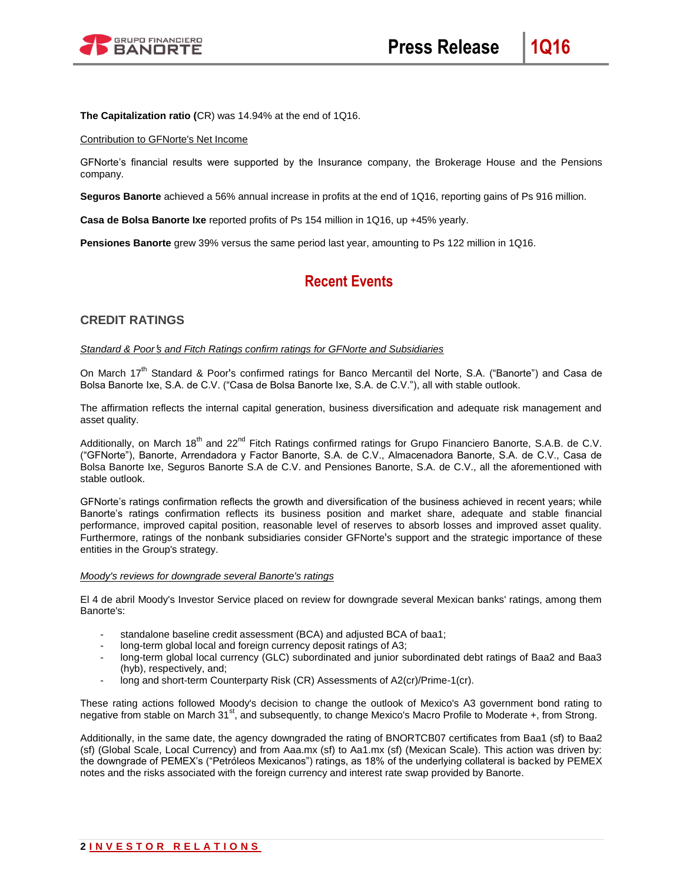

**The Capitalization ratio (**CR) was 14.94% at the end of 1Q16.

### Contribution to GFNorte's Net Income

GFNorte's financial results were supported by the Insurance company, the Brokerage House and the Pensions company.

**Seguros Banorte** achieved a 56% annual increase in profits at the end of 1Q16, reporting gains of Ps 916 million.

**Casa de Bolsa Banorte Ixe** reported profits of Ps 154 million in 1Q16, up +45% yearly.

**Pensiones Banorte** grew 39% versus the same period last year, amounting to Ps 122 million in 1Q16.

# **Recent Events**

## **CREDIT RATINGS**

#### *Standard & Poor*'*s and Fitch Ratings confirm ratings for GFNorte and Subsidiaries*

On March 17<sup>th</sup> Standard & Poor's confirmed ratings for Banco Mercantil del Norte, S.A. ("Banorte") and Casa de Bolsa Banorte Ixe, S.A. de C.V. ("Casa de Bolsa Banorte Ixe, S.A. de C.V."), all with stable outlook.

The affirmation reflects the internal capital generation, business diversification and adequate risk management and asset quality.

Additionally, on March 18<sup>th</sup> and 22<sup>nd</sup> Fitch Ratings confirmed ratings for Grupo Financiero Banorte, S.A.B. de C.V. ("GFNorte"), Banorte, Arrendadora y Factor Banorte, S.A. de C.V., Almacenadora Banorte, S.A. de C.V., Casa de Bolsa Banorte Ixe, Seguros Banorte S.A de C.V. and Pensiones Banorte, S.A. de C.V., all the aforementioned with stable outlook.

GFNorte's ratings confirmation reflects the growth and diversification of the business achieved in recent years; while Banorte's ratings confirmation reflects its business position and market share, adequate and stable financial performance, improved capital position, reasonable level of reserves to absorb losses and improved asset quality. Furthermore, ratings of the nonbank subsidiaries consider GFNorte's support and the strategic importance of these entities in the Group's strategy.

#### *Moody's reviews for downgrade several Banorte's ratings*

El 4 de abril Moody's Investor Service placed on review for downgrade several Mexican banks' ratings, among them Banorte's:

- standalone baseline credit assessment (BCA) and adjusted BCA of baa1;
- long-term global local and foreign currency deposit ratings of A3;
- long-term global local currency (GLC) subordinated and junior subordinated debt ratings of Baa2 and Baa3 (hyb), respectively, and;
- long and short-term Counterparty Risk (CR) Assessments of A2(cr)/Prime-1(cr).

These rating actions followed Moody's decision to change the outlook of Mexico's A3 government bond rating to negative from stable on March 31<sup>st</sup>, and subsequently, to change Mexico's Macro Profile to Moderate +, from Strong.

Additionally, in the same date, the agency downgraded the rating of BNORTCB07 certificates from Baa1 (sf) to Baa2 (sf) (Global Scale, Local Currency) and from Aaa.mx (sf) to Aa1.mx (sf) (Mexican Scale). This action was driven by: the downgrade of PEMEX's ("Petróleos Mexicanos") ratings, as 18% of the underlying collateral is backed by PEMEX notes and the risks associated with the foreign currency and interest rate swap provided by Banorte.